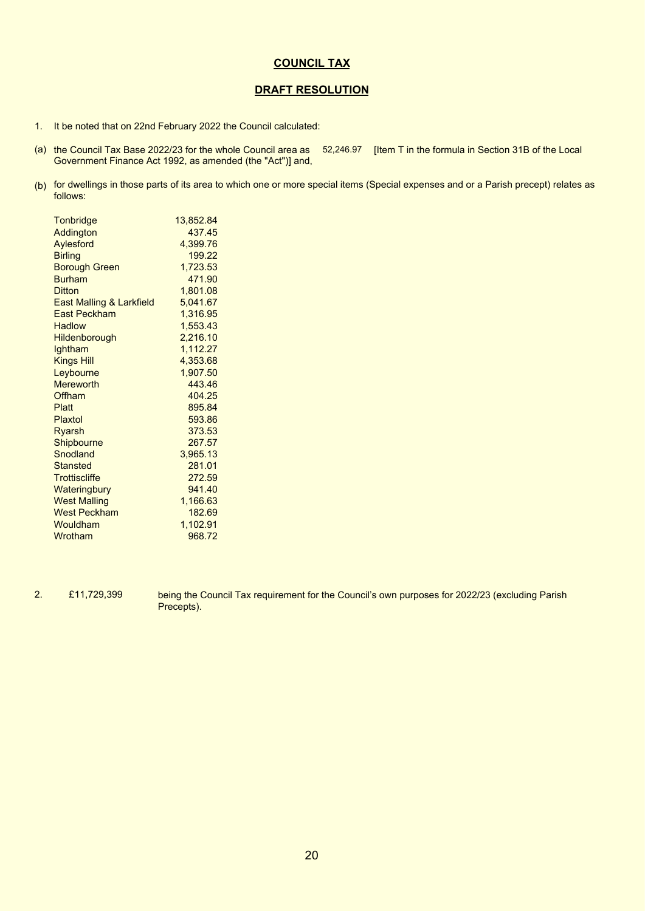## **COUNCIL TAX**

## **DRAFT RESOLUTION**

- 1. It be noted that on 22nd February 2022 the Council calculated:
- (a) the Council Tax Base 2022/23 for the whole Council area as [52,246.97] [Item T in the formula in Section 31B of the Local Government Finance Act 1992, as amended (the "Act")] and,
- (b) for dwellings in those parts of its area to which one or more special items (Special expenses and or a Parish precept) relates as follows:

| <b>Tonbridge</b>                    | 13,852.84 |
|-------------------------------------|-----------|
| Addington                           | 437.45    |
| Aylesford                           | 4,399.76  |
| <b>Birling</b>                      | 199.22    |
| Borough Green                       | 1,723.53  |
| <b>Burham</b>                       | 471.90    |
| Ditton                              | 1,801.08  |
| <b>East Malling &amp; Larkfield</b> | 5,041.67  |
| <b>East Peckham</b>                 | 1,316.95  |
| <b>Hadlow</b>                       | 1,553.43  |
| <b>Hildenborough</b>                | 2,216.10  |
| Ightham                             | 1,112.27  |
| <b>Kings Hill</b>                   | 4,353.68  |
| Leybourne                           | 1,907.50  |
| <b>Mereworth</b>                    | 443.46    |
| Offham                              | 404.25    |
| Platt                               | 895.84    |
| Plaxtol                             | 593.86    |
| Ryarsh                              | 373.53    |
| Shipbourne                          | 267.57    |
| Snodland                            | 3,965.13  |
| <b>Stansted</b>                     | 281.01    |
| <b>Trottiscliffe</b>                | 272.59    |
| Wateringbury                        | 941.40    |
| <b>West Malling</b>                 | 1,166.63  |
| <b>West Peckham</b>                 | 182.69    |
| Wouldham                            | 1,102.91  |
| Wrotham                             | 968.72    |
|                                     |           |

2. £11,729,399

being the Council Tax requirement for the Council's own purposes for 2022/23 (excluding Parish Precepts).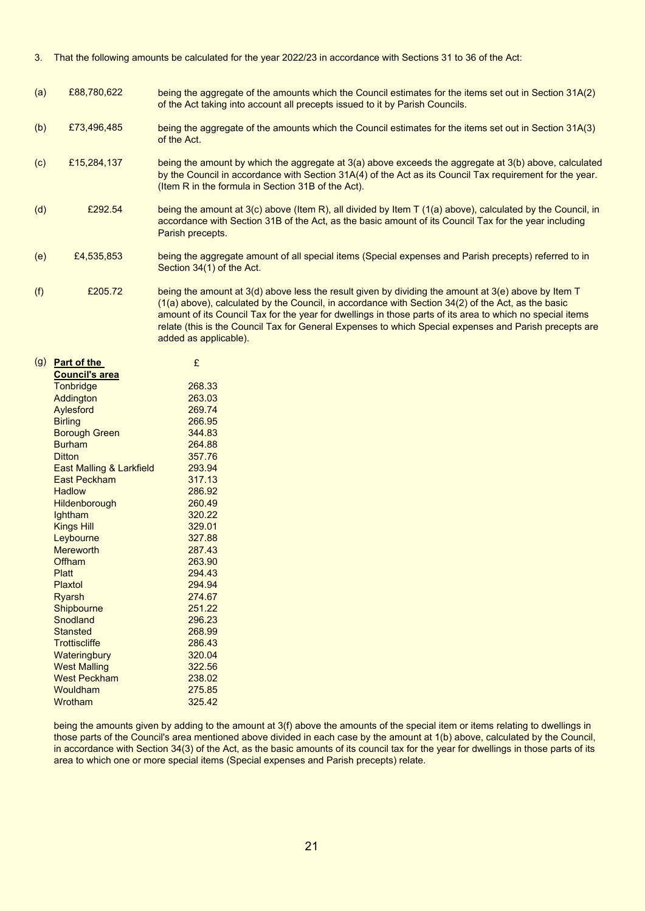- 3. That the following amounts be calculated for the year 2022/23 in accordance with Sections 31 to 36 of the Act:
- (a) £88,780,622 being the aggregate of the amounts which the Council estimates for the items set out in Section 31A(2) of the Act taking into account all precepts issued to it by Parish Councils.
- (b) £73,496,485 being the aggregate of the amounts which the Council estimates for the items set out in Section 31A(3) of the Act.
- (c) £15,284,137 being the amount by which the aggregate at 3(a) above exceeds the aggregate at 3(b) above, calculated by the Council in accordance with Section 31A(4) of the Act as its Council Tax requirement for the year. (Item R in the formula in Section 31B of the Act).
- (d) £292.54 being the amount at 3(c) above (Item R), all divided by Item T (1(a) above), calculated by the Council, in accordance with Section 31B of the Act, as the basic amount of its Council Tax for the year including Parish precepts.
- (e) £4,535,853 being the aggregate amount of all special items (Special expenses and Parish precepts) referred to in Section 34(1) of the Act.
- (f) £205.72 being the amount at 3(d) above less the result given by dividing the amount at 3(e) above by Item T (1(a) above), calculated by the Council, in accordance with Section 34(2) of the Act, as the basic amount of its Council Tax for the year for dwellings in those parts of its area to which no special items relate (this is the Council Tax for General Expenses to which Special expenses and Parish precepts are added as applicable).

| (g) | Part of the              | £      |
|-----|--------------------------|--------|
|     | <b>Council's area</b>    |        |
|     | <b>Tonbridge</b>         | 268.33 |
|     | Addington                | 263.03 |
|     | Aylesford                | 269.74 |
|     | <b>Birling</b>           | 266.95 |
|     | <b>Borough Green</b>     | 344.83 |
|     | <b>Burham</b>            | 264.88 |
|     | <b>Ditton</b>            | 357.76 |
|     | East Malling & Larkfield | 293.94 |
|     | <b>East Peckham</b>      | 317.13 |
|     | <b>Hadlow</b>            | 286.92 |
|     | <b>Hildenborough</b>     | 260.49 |
|     | lghtham                  | 320.22 |
|     | <b>Kings Hill</b>        | 329.01 |
|     | Leybourne                | 327.88 |
|     | Mereworth                | 287.43 |
|     | Offham                   | 263.90 |
|     | Platt                    | 294.43 |
|     | Plaxtol                  | 294.94 |
|     | Ryarsh                   | 274.67 |
|     | Shipbourne               | 251.22 |
|     | Snodland                 | 296.23 |
|     | <b>Stansted</b>          | 268.99 |
|     | <b>Trottiscliffe</b>     | 286.43 |
|     | Wateringbury             | 320.04 |
|     | <b>West Malling</b>      | 322.56 |
|     | <b>West Peckham</b>      | 238.02 |
|     | Wouldham                 | 275.85 |
|     | Wrotham                  | 325.42 |

being the amounts given by adding to the amount at 3(f) above the amounts of the special item or items relating to dwellings in those parts of the Council's area mentioned above divided in each case by the amount at 1(b) above, calculated by the Council, in accordance with Section 34(3) of the Act, as the basic amounts of its council tax for the year for dwellings in those parts of its area to which one or more special items (Special expenses and Parish precepts) relate.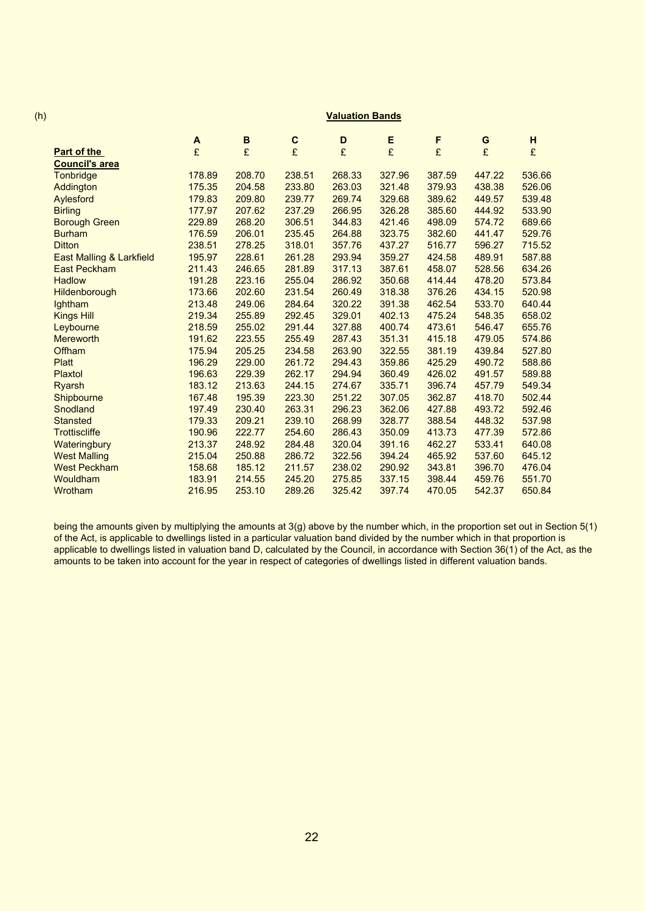## (h) **Valuation Bands**

|                                     | A      | В      | C      | D      | Е      | F      | G      | н      |
|-------------------------------------|--------|--------|--------|--------|--------|--------|--------|--------|
| Part of the                         | £      | £      | £      | £      | £      | £      | £      | £      |
| <b>Council's area</b>               |        |        |        |        |        |        |        |        |
| Tonbridge                           | 178.89 | 208.70 | 238.51 | 268.33 | 327.96 | 387.59 | 447.22 | 536.66 |
| Addington                           | 175.35 | 204.58 | 233.80 | 263.03 | 321.48 | 379.93 | 438.38 | 526.06 |
| Aylesford                           | 179.83 | 209.80 | 239.77 | 269.74 | 329.68 | 389.62 | 449.57 | 539.48 |
| <b>Birling</b>                      | 177.97 | 207.62 | 237.29 | 266.95 | 326.28 | 385.60 | 444.92 | 533.90 |
| <b>Borough Green</b>                | 229.89 | 268.20 | 306.51 | 344.83 | 421.46 | 498.09 | 574.72 | 689.66 |
| <b>Burham</b>                       | 176.59 | 206.01 | 235.45 | 264.88 | 323.75 | 382.60 | 441.47 | 529.76 |
| <b>Ditton</b>                       | 238.51 | 278.25 | 318.01 | 357.76 | 437.27 | 516.77 | 596.27 | 715.52 |
| <b>East Malling &amp; Larkfield</b> | 195.97 | 228.61 | 261.28 | 293.94 | 359.27 | 424.58 | 489.91 | 587.88 |
| <b>East Peckham</b>                 | 211.43 | 246.65 | 281.89 | 317.13 | 387.61 | 458.07 | 528.56 | 634.26 |
| <b>Hadlow</b>                       | 191.28 | 223.16 | 255.04 | 286.92 | 350.68 | 414.44 | 478.20 | 573.84 |
| <b>Hildenborough</b>                | 173.66 | 202.60 | 231.54 | 260.49 | 318.38 | 376.26 | 434.15 | 520.98 |
| lghtham                             | 213.48 | 249.06 | 284.64 | 320.22 | 391.38 | 462.54 | 533.70 | 640.44 |
| <b>Kings Hill</b>                   | 219.34 | 255.89 | 292.45 | 329.01 | 402.13 | 475.24 | 548.35 | 658.02 |
| Leybourne                           | 218.59 | 255.02 | 291.44 | 327.88 | 400.74 | 473.61 | 546.47 | 655.76 |
| <b>Mereworth</b>                    | 191.62 | 223.55 | 255.49 | 287.43 | 351.31 | 415.18 | 479.05 | 574.86 |
| Offham                              | 175.94 | 205.25 | 234.58 | 263.90 | 322.55 | 381.19 | 439.84 | 527.80 |
| <b>Platt</b>                        | 196.29 | 229.00 | 261.72 | 294.43 | 359.86 | 425.29 | 490.72 | 588.86 |
| Plaxtol                             | 196.63 | 229.39 | 262.17 | 294.94 | 360.49 | 426.02 | 491.57 | 589.88 |
| <b>Ryarsh</b>                       | 183.12 | 213.63 | 244.15 | 274.67 | 335.71 | 396.74 | 457.79 | 549.34 |
| Shipbourne                          | 167.48 | 195.39 | 223.30 | 251.22 | 307.05 | 362.87 | 418.70 | 502.44 |
| Snodland                            | 197.49 | 230.40 | 263.31 | 296.23 | 362.06 | 427.88 | 493.72 | 592.46 |
| <b>Stansted</b>                     | 179.33 | 209.21 | 239.10 | 268.99 | 328.77 | 388.54 | 448.32 | 537.98 |
| <b>Trottiscliffe</b>                | 190.96 | 222.77 | 254.60 | 286.43 | 350.09 | 413.73 | 477.39 | 572.86 |
| Wateringbury                        | 213.37 | 248.92 | 284.48 | 320.04 | 391.16 | 462.27 | 533.41 | 640.08 |
| <b>West Malling</b>                 | 215.04 | 250.88 | 286.72 | 322.56 | 394.24 | 465.92 | 537.60 | 645.12 |
| <b>West Peckham</b>                 | 158.68 | 185.12 | 211.57 | 238.02 | 290.92 | 343.81 | 396.70 | 476.04 |
| Wouldham                            | 183.91 | 214.55 | 245.20 | 275.85 | 337.15 | 398.44 | 459.76 | 551.70 |
| Wrotham                             | 216.95 | 253.10 | 289.26 | 325.42 | 397.74 | 470.05 | 542.37 | 650.84 |

being the amounts given by multiplying the amounts at 3(g) above by the number which, in the proportion set out in Section 5(1) of the Act, is applicable to dwellings listed in a particular valuation band divided by the number which in that proportion is applicable to dwellings listed in valuation band D, calculated by the Council, in accordance with Section 36(1) of the Act, as the amounts to be taken into account for the year in respect of categories of dwellings listed in different valuation bands.